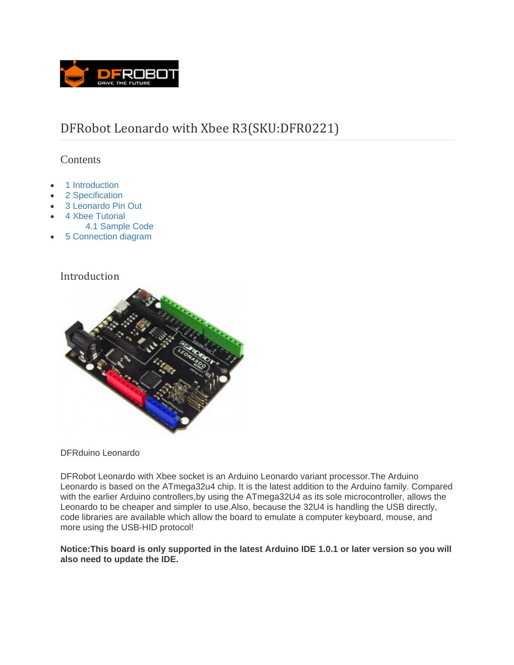

# DFRobot Leonardo with Xbee R3(SKU:DFR0221)

### **Contents**

- 1 Introduction
- 2 Specification
- 3 Leonardo Pin Out
- 4 Xbee Tutorial
	- 4.1 Sample Code
- 5 Connection diagram

### Introduction



#### DFRduino Leonardo

DFRobot Leonardo with Xbee socket is an Arduino Leonardo variant processor.The Arduino Leonardo is based on the ATmega32u4 chip. It is the latest addition to the Arduino family. Compared with the earlier Arduino controllers,by using the ATmega32U4 as its sole microcontroller, allows the Leonardo to be cheaper and simpler to use.Also, because the 32U4 is handling the USB directly, code libraries are available which allow the board to emulate a computer keyboard, mouse, and more using the USB-HID protocol!

#### **Notice:This board is only supported in the latest Arduino IDE 1.0.1 or later version so you will also need to update the IDE.**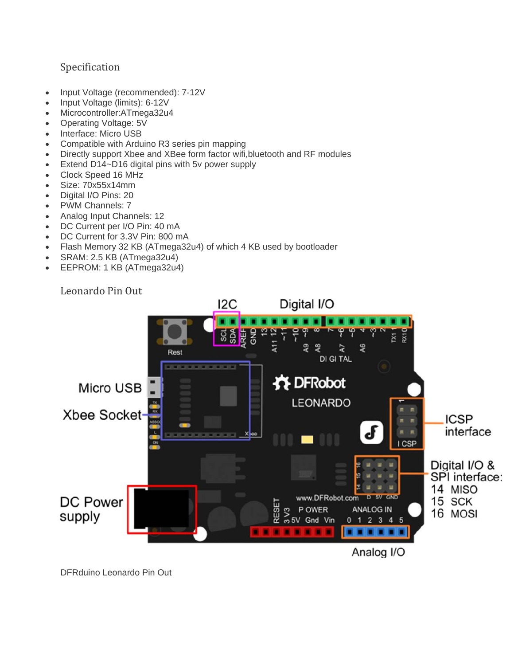# Specification

- Input Voltage (recommended): 7-12V
- Input Voltage (limits): 6-12V
- Microcontroller:ATmega32u4
- Operating Voltage: 5V
- Interface: Micro USB
- Compatible with Arduino R3 series pin mapping
- Directly support Xbee and XBee form factor wifi,bluetooth and RF modules
- Extend D14~D16 digital pins with 5v power supply
- Clock Speed 16 MHz
- Size: 70x55x14mm
- Digital I/O Pins: 20
- PWM Channels: 7
- Analog Input Channels: 12
- DC Current per I/O Pin: 40 mA
- DC Current for 3.3V Pin: 800 mA
- Flash Memory 32 KB (ATmega32u4) of which 4 KB used by bootloader
- SRAM: 2.5 KB (ATmega32u4)
- EEPROM: 1 KB (ATmega32u4)

Leonardo Pin Out



DFRduino Leonardo Pin Out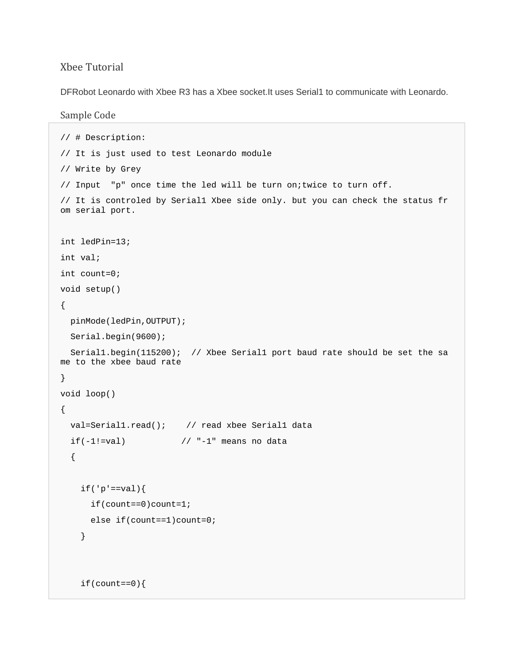### Xbee Tutorial

DFRobot Leonardo with Xbee R3 has a Xbee socket.It uses Serial1 to communicate with Leonardo.

#### Sample Code

```
// # Description: 
// It is just used to test Leonardo module 
// Write by Grey 
// Input "p" once time the led will be turn on;twice to turn off. 
// It is controled by Serial1 Xbee side only. but you can check the status fr
om serial port. 
int ledPin=13; 
int val; 
int count=0; 
void setup() 
{ 
   pinMode(ledPin,OUTPUT); 
  Serial.begin(9600); 
  Serial1.begin(115200); // Xbee Serial1 port baud rate should be set the sa
me to the xbee baud rate 
} 
void loop() 
{ 
   val=Serial1.read(); // read xbee Serial1 data 
  if(-1!=\text{val}) \frac{1}{\ell} \frac{1}{\ell} = -\frac{1}{\ell} means no data
   { 
    if('p' == val) if(count==0)count=1; 
       else if(count==1)count=0; 
     } 
     if(count==0){
```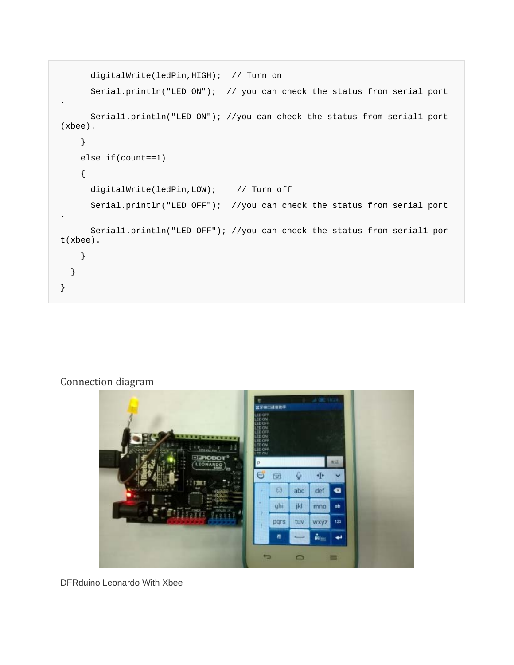```
 digitalWrite(ledPin,HIGH); // Turn on 
       Serial.println("LED ON"); // you can check the status from serial port
. 
       Serial1.println("LED ON"); //you can check the status from serial1 port
(xbee). 
     } 
     else if(count==1) 
     { 
       digitalWrite(ledPin,LOW); // Turn off 
       Serial.println("LED OFF"); //you can check the status from serial port
. 
       Serial1.println("LED OFF"); //you can check the status from serial1 por
t(xbee). 
     } 
   } 
}
```
# Connection diagram



DFRduino Leonardo With Xbee